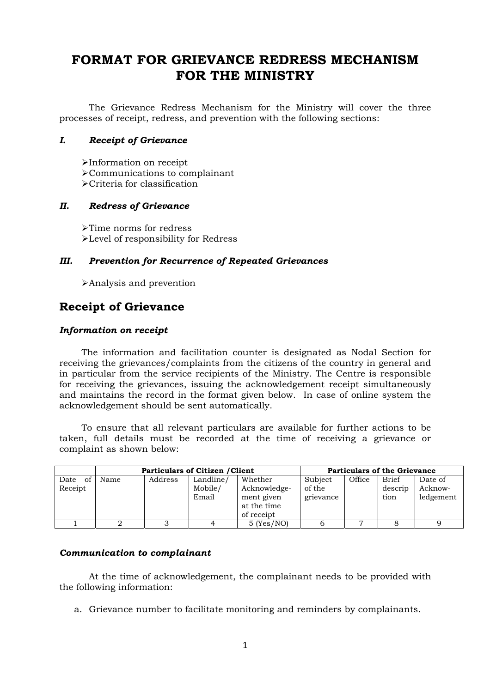# **FORMAT FOR GRIEVANCE REDRESS MECHANISM FOR THE MINISTRY**

 The Grievance Redress Mechanism for the Ministry will cover the three processes of receipt, redress, and prevention with the following sections:

## *I. Receipt of Grievance*

¾ Information on receipt ¾ Communications to complainant  $\triangleright$  Criteria for classification

## *II. Redress of Grievance*

¾ Time norms for redress ¾ Level of responsibility for Redress

## *III. Prevention for Recurrence of Repeated Grievances*

¾ Analysis and prevention

## **Receipt of Grievance**

## *Information on receipt*

 The information and facilitation counter is designated as Nodal Section for receiving the grievances/complaints from the citizens of the country in general and in particular from the service recipients of the Ministry. The Centre is responsible for receiving the grievances, issuing the acknowledgement receipt simultaneously and maintains the record in the format given below. In case of online system the acknowledgement should be sent automatically.

 To ensure that all relevant particulars are available for further actions to be taken, full details must be recorded at the time of receiving a grievance or complaint as shown below:

|                       |      |         | <b>Particulars of Citizen / Client</b> | <b>Particulars of the Grievance</b>                                |                                |        |                                 |                                 |
|-----------------------|------|---------|----------------------------------------|--------------------------------------------------------------------|--------------------------------|--------|---------------------------------|---------------------------------|
| of<br>Date<br>Receipt | Name | Address | Landline/<br>Mobile/<br>Email          | Whether<br>Acknowledge-<br>ment given<br>at the time<br>of receipt | Subject<br>of the<br>grievance | Office | <b>Brief</b><br>descrip<br>tion | Date of<br>Acknow-<br>ledgement |
|                       |      |         |                                        | $5$ (Yes/NO)                                                       |                                |        |                                 |                                 |

### *Communication to complainant*

 At the time of acknowledgement, the complainant needs to be provided with the following information:

a. Grievance number to facilitate monitoring and reminders by complainants.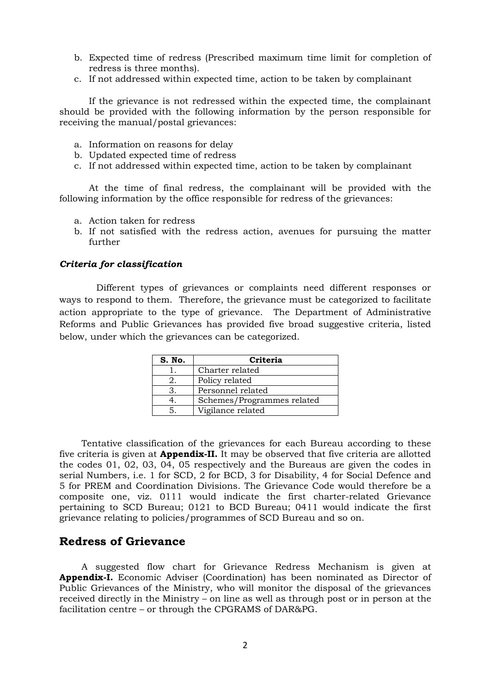- b. Expected time of redress (Prescribed maximum time limit for completion of redress is three months).
- c. If not addressed within expected time, action to be taken by complainant

 If the grievance is not redressed within the expected time, the complainant should be provided with the following information by the person responsible for receiving the manual/postal grievances:

- a. Information on reasons for delay
- b. Updated expected time of redress
- c. If not addressed within expected time, action to be taken by complainant

 At the time of final redress, the complainant will be provided with the following information by the office responsible for redress of the grievances:

- a. Action taken for redress
- b. If not satisfied with the redress action, avenues for pursuing the matter further

#### *Criteria for classification*

Different types of grievances or complaints need different responses or ways to respond to them. Therefore, the grievance must be categorized to facilitate action appropriate to the type of grievance. The Department of Administrative Reforms and Public Grievances has provided five broad suggestive criteria, listed below, under which the grievances can be categorized.

| S. No. | <b>Criteria</b>            |
|--------|----------------------------|
|        | Charter related            |
|        | Policy related             |
|        | Personnel related          |
|        | Schemes/Programmes related |
|        | Vigilance related          |

Tentative classification of the grievances for each Bureau according to these five criteria is given at **Appendix-II.** It may be observed that five criteria are allotted the codes 01, 02, 03, 04, 05 respectively and the Bureaus are given the codes in serial Numbers, i.e. 1 for SCD, 2 for BCD, 3 for Disability, 4 for Social Defence and 5 for PREM and Coordination Divisions. The Grievance Code would therefore be a composite one, viz. 0111 would indicate the first charter-related Grievance pertaining to SCD Bureau; 0121 to BCD Bureau; 0411 would indicate the first grievance relating to policies/programmes of SCD Bureau and so on.

## **Redress of Grievance**

A suggested flow chart for Grievance Redress Mechanism is given at **Appendix-I.** Economic Adviser (Coordination) has been nominated as Director of Public Grievances of the Ministry, who will monitor the disposal of the grievances received directly in the Ministry – on line as well as through post or in person at the facilitation centre – or through the CPGRAMS of DAR&PG.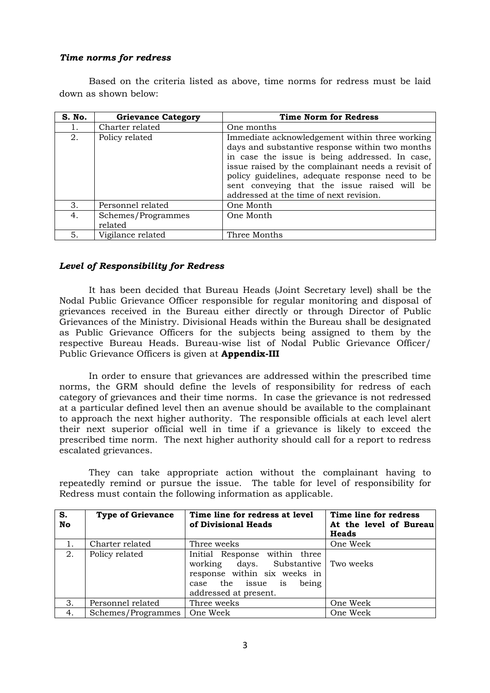## *Time norms for redress*

 Based on the criteria listed as above, time norms for redress must be laid down as shown below:

| S. No. | <b>Grievance Category</b>     | <b>Time Norm for Redress</b>                                                                                                                                                                                                                                                                                                                            |
|--------|-------------------------------|---------------------------------------------------------------------------------------------------------------------------------------------------------------------------------------------------------------------------------------------------------------------------------------------------------------------------------------------------------|
|        | Charter related               | One months                                                                                                                                                                                                                                                                                                                                              |
| 2.     | Policy related                | Immediate acknowledgement within three working<br>days and substantive response within two months<br>in case the issue is being addressed. In case,<br>issue raised by the complainant needs a revisit of<br>policy guidelines, adequate response need to be<br>sent conveying that the issue raised will be<br>addressed at the time of next revision. |
| 3.     | Personnel related             | One Month                                                                                                                                                                                                                                                                                                                                               |
| 4.     | Schemes/Programmes<br>related | One Month                                                                                                                                                                                                                                                                                                                                               |
| 5.     | Vigilance related             | Three Months                                                                                                                                                                                                                                                                                                                                            |

## *Level of Responsibility for Redress*

 It has been decided that Bureau Heads (Joint Secretary level) shall be the Nodal Public Grievance Officer responsible for regular monitoring and disposal of grievances received in the Bureau either directly or through Director of Public Grievances of the Ministry. Divisional Heads within the Bureau shall be designated as Public Grievance Officers for the subjects being assigned to them by the respective Bureau Heads. Bureau-wise list of Nodal Public Grievance Officer/ Public Grievance Officers is given at **Appendix-III** 

 In order to ensure that grievances are addressed within the prescribed time norms, the GRM should define the levels of responsibility for redress of each category of grievances and their time norms. In case the grievance is not redressed at a particular defined level then an avenue should be available to the complainant to approach the next higher authority. The responsible officials at each level alert their next superior official well in time if a grievance is likely to exceed the prescribed time norm. The next higher authority should call for a report to redress escalated grievances.

 They can take appropriate action without the complainant having to repeatedly remind or pursue the issue. The table for level of responsibility for Redress must contain the following information as applicable.

| S.<br>No | <b>Type of Grievance</b>      | Time line for redress at level<br>of Divisional Heads                                                                                                       | Time line for redress<br>At the level of Bureau<br><b>Heads</b> |  |  |  |  |
|----------|-------------------------------|-------------------------------------------------------------------------------------------------------------------------------------------------------------|-----------------------------------------------------------------|--|--|--|--|
| 1.       | Charter related               | Three weeks                                                                                                                                                 | One Week                                                        |  |  |  |  |
| 2.       | Policy related                | Initial Response within three<br>working days. Substantive Two weeks<br>response within six weeks in<br>case the issue is<br>being<br>addressed at present. |                                                                 |  |  |  |  |
| 3.       | Personnel related             | Three weeks                                                                                                                                                 | One Week                                                        |  |  |  |  |
| 4.       | Schemes/Programmes   One Week |                                                                                                                                                             | One Week                                                        |  |  |  |  |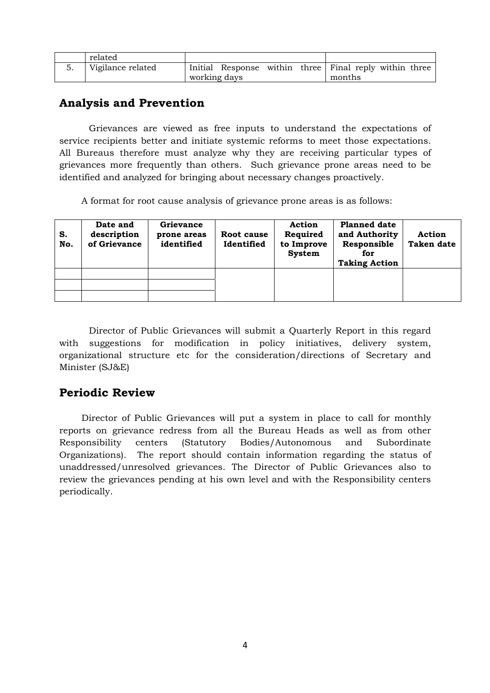| related           |              |                                                        |  |        |  |  |
|-------------------|--------------|--------------------------------------------------------|--|--------|--|--|
| Vigilance related | working days | Initial Response within three Final reply within three |  | months |  |  |

## **Analysis and Prevention**

 Grievances are viewed as free inputs to understand the expectations of service recipients better and initiate systemic reforms to meet those expectations. All Bureaus therefore must analyze why they are receiving particular types of grievances more frequently than others. Such grievance prone areas need to be identified and analyzed for bringing about necessary changes proactively.

A format for root cause analysis of grievance prone areas is as follows:

| S.<br>No. | Date and<br>description<br>of Grievance | Grievance<br>prone areas<br>identified | Root cause<br>Identified | <b>Action</b><br>Required<br>to Improve<br><b>System</b> | <b>Planned date</b><br>and Authority<br>Responsible<br>for<br><b>Taking Action</b> | Action<br><b>Taken date</b> |  |
|-----------|-----------------------------------------|----------------------------------------|--------------------------|----------------------------------------------------------|------------------------------------------------------------------------------------|-----------------------------|--|
|           |                                         |                                        |                          |                                                          |                                                                                    |                             |  |
|           |                                         |                                        |                          |                                                          |                                                                                    |                             |  |
|           |                                         |                                        |                          |                                                          |                                                                                    |                             |  |

 Director of Public Grievances will submit a Quarterly Report in this regard with suggestions for modification in policy initiatives, delivery system, organizational structure etc for the consideration/directions of Secretary and Minister (SJ&E)

## **Periodic Review**

 Director of Public Grievances will put a system in place to call for monthly reports on grievance redress from all the Bureau Heads as well as from other Responsibility centers (Statutory Bodies/Autonomous and Subordinate Organizations). The report should contain information regarding the status of unaddressed/unresolved grievances. The Director of Public Grievances also to review the grievances pending at his own level and with the Responsibility centers periodically.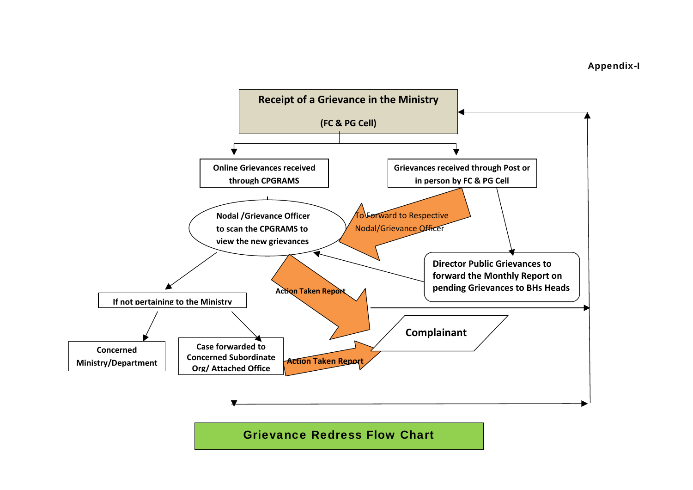

Grievance Redress Flow Chart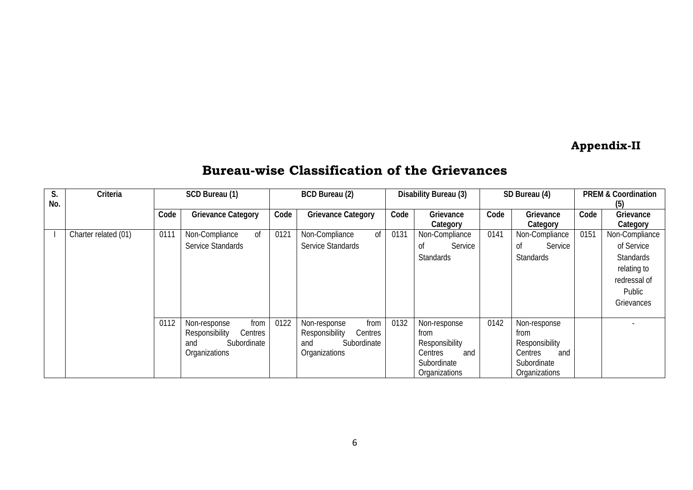# **Appendix-II**

## **Bureau-wise Classification of the Grievances**

| S.<br>No. | Criteria             | SCD Bureau (1) |                           |      | <b>BCD Bureau (2)</b><br>Disability Bureau (3) |      |                  | SD Bureau (4) |                  | <b>PREM &amp; Coordination</b><br>(5) |                  |
|-----------|----------------------|----------------|---------------------------|------|------------------------------------------------|------|------------------|---------------|------------------|---------------------------------------|------------------|
|           |                      | Code           | <b>Grievance Category</b> | Code | <b>Grievance Category</b>                      | Code | Grievance        | Code          | Grievance        | Code                                  | Grievance        |
|           |                      |                |                           |      |                                                |      | Category         |               | Category         |                                       | Category         |
|           | Charter related (01) | 0111           | Non-Compliance<br>0f      | 0121 | Non-Compliance<br>0f                           | 0131 | Non-Compliance   | 0141          | Non-Compliance   | 0151                                  | Non-Compliance   |
|           |                      |                | Service Standards         |      | Service Standards                              |      | Service<br>Οf    |               | Οf<br>Service    |                                       | of Service       |
|           |                      |                |                           |      |                                                |      | <b>Standards</b> |               | <b>Standards</b> |                                       | <b>Standards</b> |
|           |                      |                |                           |      |                                                |      |                  |               |                  |                                       | relating to      |
|           |                      |                |                           |      |                                                |      |                  |               |                  |                                       | redressal of     |
|           |                      |                |                           |      |                                                |      |                  |               |                  |                                       | Public           |
|           |                      |                |                           |      |                                                |      |                  |               |                  |                                       | Grievances       |
|           |                      | 0112           | Non-response<br>from      | 0122 | Non-response<br>from                           | 0132 | Non-response     | 0142          | Non-response     |                                       |                  |
|           |                      |                | Responsibility<br>Centres |      | Responsibility<br><b>Centres</b>               |      | from             |               | from             |                                       |                  |
|           |                      |                | Subordinate<br>and        |      | Subordinate<br>and                             |      | Responsibility   |               | Responsibility   |                                       |                  |
|           |                      |                | Organizations             |      | Organizations                                  |      | Centres<br>and   |               | Centres<br>and   |                                       |                  |
|           |                      |                |                           |      |                                                |      | Subordinate      |               | Subordinate      |                                       |                  |
|           |                      |                |                           |      |                                                |      | Organizations    |               | Organizations    |                                       |                  |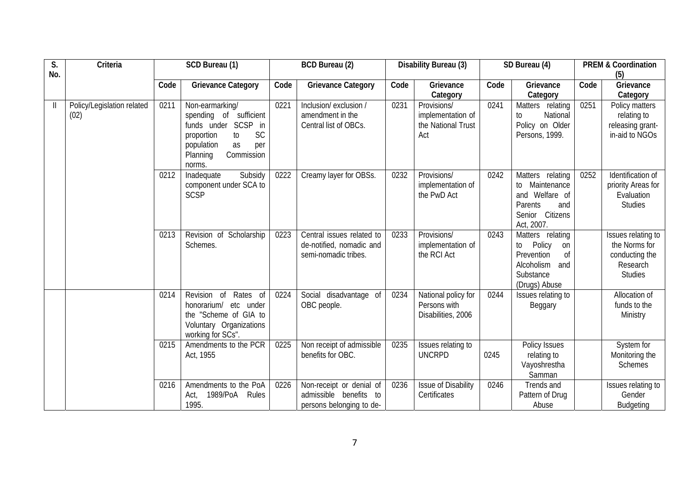| S.<br>No.    | Criteria                           | SCD Bureau (1)<br><b>BCD Bureau (2)</b> |                                                                                                                                                                     |      | Disability Bureau (3)                                                          |      | SD Bureau (4)                                                 |      | <b>PREM &amp; Coordination</b><br>(5)                                                                         |      |                                                                                     |
|--------------|------------------------------------|-----------------------------------------|---------------------------------------------------------------------------------------------------------------------------------------------------------------------|------|--------------------------------------------------------------------------------|------|---------------------------------------------------------------|------|---------------------------------------------------------------------------------------------------------------|------|-------------------------------------------------------------------------------------|
|              |                                    | Code                                    | <b>Grievance Category</b>                                                                                                                                           | Code | <b>Grievance Category</b>                                                      | Code | Grievance<br>Category                                         | Code | Grievance<br>Category                                                                                         | Code | Grievance<br>Category                                                               |
| $\mathbf{I}$ | Policy/Legislation related<br>(02) | 0211                                    | Non-earmarking/<br>spending of sufficient<br>funds under SCSP<br>in<br><b>SC</b><br>proportion<br>to<br>population<br>as<br>per<br>Planning<br>Commission<br>norms. | 0221 | Inclusion/exclusion /<br>amendment in the<br>Central list of OBCs.             | 0231 | Provisions/<br>implementation of<br>the National Trust<br>Act | 0241 | Matters relating<br>National<br>to<br>Policy on Older<br>Persons, 1999.                                       | 0251 | Policy matters<br>relating to<br>releasing grant-<br>in-aid to NGOs                 |
|              |                                    | 0212                                    | Subsidy<br>Inadequate<br>component under SCA to<br><b>SCSP</b>                                                                                                      | 0222 | Creamy layer for OBSs.                                                         | 0232 | Provisions/<br>implementation of<br>the PwD Act               | 0242 | Matters relating<br>Maintenance<br>to<br>and Welfare of<br>Parents<br>and<br>Senior Citizens<br>Act, 2007.    | 0252 | Identification of<br>priority Areas for<br>Evaluation<br><b>Studies</b>             |
|              |                                    | 0213                                    | Revision of Scholarship<br>Schemes.                                                                                                                                 | 0223 | Central issues related to<br>de-notified, nomadic and<br>semi-nomadic tribes.  | 0233 | Provisions/<br>implementation of<br>the RCI Act               | 0243 | Matters relating<br>Policy<br>to<br>on<br>Prevention<br>0f<br>Alcoholism<br>and<br>Substance<br>(Drugs) Abuse |      | Issues relating to<br>the Norms for<br>conducting the<br>Research<br><b>Studies</b> |
|              |                                    | 0214                                    | Revision of<br>Rates of<br>honorarium/<br>etc under<br>the "Scheme of GIA to<br>Voluntary Organizations<br>working for SCs".                                        | 0224 | Social disadvantage of<br>OBC people.                                          | 0234 | National policy for<br>Persons with<br>Disabilities, 2006     | 0244 | Issues relating to<br>Beggary                                                                                 |      | Allocation of<br>funds to the<br>Ministry                                           |
|              |                                    | 0215                                    | Amendments to the PCR<br>Act, 1955                                                                                                                                  | 0225 | Non receipt of admissible<br>benefits for OBC.                                 | 0235 | Issues relating to<br><b>UNCRPD</b>                           | 0245 | Policy Issues<br>relating to<br>Vayoshrestha<br>Samman                                                        |      | System for<br>Monitoring the<br><b>Schemes</b>                                      |
|              |                                    | 0216                                    | Amendments to the PoA<br>1989/PoA<br>Rules<br>Act,<br>1995.                                                                                                         | 0226 | Non-receipt or denial of<br>admissible benefits to<br>persons belonging to de- | 0236 | Issue of Disability<br>Certificates                           | 0246 | Trends and<br>Pattern of Drug<br>Abuse                                                                        |      | Issues relating to<br>Gender<br><b>Budgeting</b>                                    |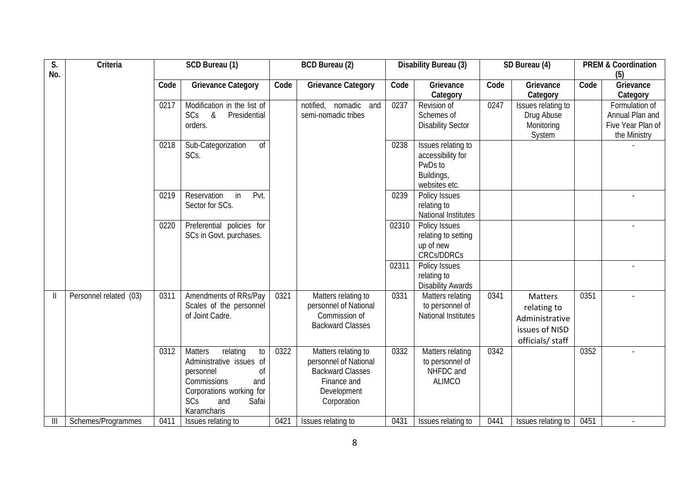| S.<br>No.     | Criteria               | SCD Bureau (1) |                                                                                                                                                                                                    |      | <b>BCD Bureau (2)</b>                                                                                                |       | Disability Bureau (3)                                                             | SD Bureau (4) |                                                                                       | <b>PREM &amp; Coordination</b><br>(5) |                                                                        |
|---------------|------------------------|----------------|----------------------------------------------------------------------------------------------------------------------------------------------------------------------------------------------------|------|----------------------------------------------------------------------------------------------------------------------|-------|-----------------------------------------------------------------------------------|---------------|---------------------------------------------------------------------------------------|---------------------------------------|------------------------------------------------------------------------|
|               |                        | Code           | <b>Grievance Category</b>                                                                                                                                                                          | Code | <b>Grievance Category</b>                                                                                            | Code  | Grievance<br>Category                                                             | Code          | Grievance<br>Category                                                                 | Code                                  | Grievance<br>Category                                                  |
|               |                        | 0217           | Modification in the list of<br>SCs<br>$\&$<br>Presidential<br>orders.                                                                                                                              |      | notified, nomadic and<br>semi-nomadic tribes                                                                         | 0237  | Revision of<br>Schemes of<br><b>Disability Sector</b>                             | 0247          | Issues relating to<br>Drug Abuse<br>Monitoring<br>System                              |                                       | Formulation of<br>Annual Plan and<br>Five Year Plan of<br>the Ministry |
|               |                        | 0218           | Sub-Categorization<br>0f<br>SCs.                                                                                                                                                                   |      |                                                                                                                      | 0238  | Issues relating to<br>accessibility for<br>PwDs to<br>Buildings,<br>websites etc. |               |                                                                                       |                                       |                                                                        |
|               |                        | 0219           | Pvt.<br>Reservation<br>in<br>Sector for SCs.                                                                                                                                                       |      |                                                                                                                      | 0239  | <b>Policy Issues</b><br>relating to<br><b>National Institutes</b>                 |               |                                                                                       |                                       |                                                                        |
|               |                        | 0220           | Preferential policies for<br>SCs in Govt. purchases.                                                                                                                                               |      |                                                                                                                      | 02310 | Policy Issues<br>relating to setting<br>up of new<br><b>CRCs/DDRCs</b>            |               |                                                                                       |                                       |                                                                        |
|               |                        |                |                                                                                                                                                                                                    |      |                                                                                                                      | 02311 | Policy Issues<br>relating to<br><b>Disability Awards</b>                          |               |                                                                                       |                                       |                                                                        |
| $\mathbf{  }$ | Personnel related (03) | 0311           | Amendments of RRs/Pay<br>Scales of the personnel<br>of Joint Cadre.                                                                                                                                | 0321 | Matters relating to<br>personnel of National<br>Commission of<br><b>Backward Classes</b>                             | 0331  | Matters relating<br>to personnel of<br><b>National Institutes</b>                 | 0341          | <b>Matters</b><br>relating to<br>Administrative<br>issues of NISD<br>officials/ staff | 0351                                  |                                                                        |
|               |                        | 0312           | relating<br><b>Matters</b><br>$\mathfrak{g}_{0}$<br>Administrative issues of<br><sub>of</sub><br>personnel<br>Commissions<br>and<br>Corporations working for<br>SCs<br>and<br>Safai<br>Karamcharis | 0322 | Matters relating to<br>personnel of National<br><b>Backward Classes</b><br>Finance and<br>Development<br>Corporation | 0332  | <b>Matters relating</b><br>to personnel of<br>NHFDC and<br><b>ALIMCO</b>          | 0342          |                                                                                       | 0352                                  |                                                                        |
| Ш             | Schemes/Programmes     | 0411           | Issues relating to                                                                                                                                                                                 | 0421 | Issues relating to                                                                                                   | 0431  | Issues relating to                                                                | 0441          | Issues relating to                                                                    | 0451                                  |                                                                        |